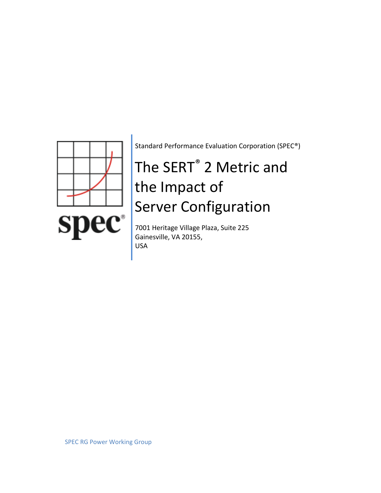

Standard Performance Evaluation Corporation (SPEC®)

# The SERT® 2 Metric and the Impact of Server Configuration

7001 Heritage Village Plaza, Suite 225 Gainesville, VA 20155, USA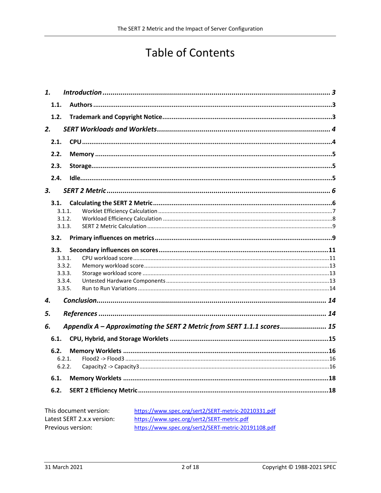# **Table of Contents**

| 1.   |        |                                                                        |  |
|------|--------|------------------------------------------------------------------------|--|
| 1.1. |        |                                                                        |  |
| 1.2. |        |                                                                        |  |
| 2.   |        |                                                                        |  |
| 2.1. |        |                                                                        |  |
| 2.2. |        |                                                                        |  |
| 2.3. |        |                                                                        |  |
| 2.4. |        |                                                                        |  |
| 3.   |        |                                                                        |  |
|      |        |                                                                        |  |
| 3.1. |        |                                                                        |  |
|      | 3.1.1. |                                                                        |  |
|      | 3.1.2. |                                                                        |  |
|      | 3.1.3. |                                                                        |  |
| 3.2. |        |                                                                        |  |
| 3.3. |        |                                                                        |  |
|      | 3.3.1. |                                                                        |  |
|      | 3.3.2. |                                                                        |  |
|      | 3.3.3. |                                                                        |  |
|      | 3.3.4. |                                                                        |  |
|      | 3.3.5. |                                                                        |  |
| 4.   |        |                                                                        |  |
|      |        |                                                                        |  |
| 5.   |        |                                                                        |  |
| 6.   |        | Appendix A - Approximating the SERT 2 Metric from SERT 1.1.1 scores 15 |  |
| 6.1. |        |                                                                        |  |
| 6.2. |        |                                                                        |  |
|      | 6.2.1. |                                                                        |  |
|      | 6.2.2. |                                                                        |  |
| 6.1. |        |                                                                        |  |
| 6.2. |        |                                                                        |  |
|      |        |                                                                        |  |
|      |        |                                                                        |  |

| This document version:     | https://www.spec.org/sert2/SERT-metric-20210331.pdf |
|----------------------------|-----------------------------------------------------|
| Latest SERT 2.x.x version: | https://www.spec.org/sert2/SERT-metric.pdf          |
| Previous version:          | https://www.spec.org/sert2/SERT-metric-20191108.pdf |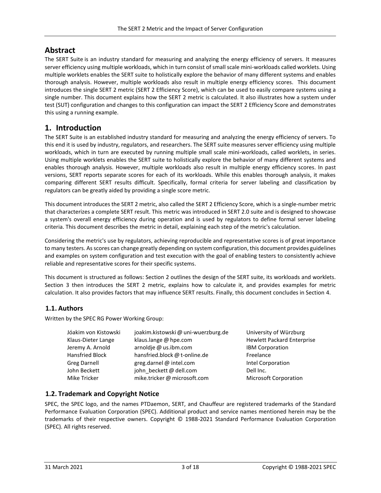# **Abstract**

The SERT Suite is an industry standard for measuring and analyzing the energy efficiency of servers. It measures server efficiency using multiple workloads, which in turn consist of small scale mini-workloads called worklets. Using multiple worklets enables the SERT suite to holistically explore the behavior of many different systems and enables thorough analysis. However, multiple workloads also result in multiple energy efficiency scores. This document introduces the single SERT 2 metric (SERT 2 Efficiency Score), which can be used to easily compare systems using a single number. This document explains how the SERT 2 metric is calculated. It also illustrates how a system under test (SUT) configuration and changes to this configuration can impact the SERT 2 Efficiency Score and demonstrates this using a running example.

# <span id="page-2-0"></span>**1. Introduction**

The SERT Suite is an established industry standard for measuring and analyzing the energy efficiency of servers. To this end it is used by industry, regulators, and researchers. The SERT suite measures server efficiency using multiple workloads, which in turn are executed by running multiple small scale mini-workloads, called worklets, in series. Using multiple worklets enables the SERT suite to holistically explore the behavior of many different systems and enables thorough analysis. However, multiple workloads also result in multiple energy efficiency scores. In past versions, SERT reports separate scores for each of its workloads. While this enables thorough analysis, it makes comparing different SERT results difficult. Specifically, formal criteria for server labeling and classification by regulators can be greatly aided by providing a single score metric.

This document introduces the SERT 2 metric, also called the SERT 2 Efficiency Score, which is a single-number metric that characterizes a complete SERT result. This metric was introduced in SERT 2.0 suite and is designed to showcase a system's overall energy efficiency during operation and is used by regulators to define formal server labeling criteria. This document describes the metric in detail, explaining each step of the metric's calculation.

Considering the metric's use by regulators, achieving reproducible and representative scores is of great importance to many testers. As scores can change greatly depending on system configuration, this document provides guidelines and examples on system configuration and test execution with the goal of enabling testers to consistently achieve reliable and representative scores for their specific systems.

This document is structured as follows: Section [2](#page-3-0) outlines the design of the SERT suite, its workloads and worklets. Section [3](#page-5-0) then introduces the SERT 2 metric, explains how to calculate it, and provides examples for metric calculation. It also provides factors that may influence SERT results. Finally, this document concludes in Section [4.](#page-13-1) 

# <span id="page-2-1"></span>**1.1. Authors**

Written by the SPEC RG Power Working Group:

| Jóakim von Kistowski | joakim.kistowski@uni-wuerzburg.de | University       |
|----------------------|-----------------------------------|------------------|
| Klaus-Dieter Lange   | klaus.lange @ hpe.com             | <b>Hewlett P</b> |
| Jeremy A. Arnold     | arnoldje @ us.ibm.com             | <b>IBM</b> Corp  |
| Hansfried Block      | hansfried.block @ t-online.de     | Freelance        |
| <b>Greg Darnell</b>  | greg.darnel $\omega$ intel.com    | Intel Corp       |
| John Beckett         | john beckett@dell.com             | Dell Inc.        |
| Mike Tricker         | mike.tricker@microsoft.com        | Microsoft        |

University of Würzburg Hewlett Packard Enterprise **IBM Corporation** Intel Corporation Microsoft Corporation

# <span id="page-2-2"></span>**1.2. Trademark and Copyright Notice**

SPEC, the SPEC logo, and the names PTDaemon, SERT, and Chauffeur are registered trademarks of the Standard Performance Evaluation Corporation (SPEC). Additional product and service names mentioned herein may be the trademarks of their respective owners. Copyright © 1988-2021 Standard Performance Evaluation Corporation (SPEC). All rights reserved.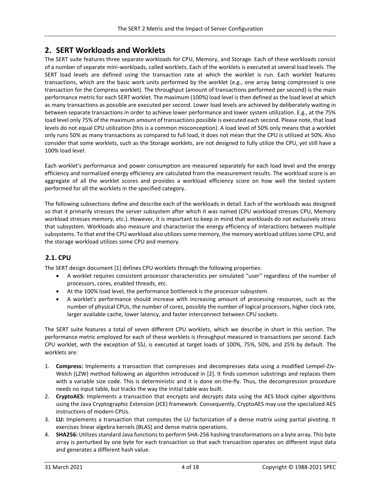# <span id="page-3-0"></span>**2. SERT Workloads and Worklets**

The SERT suite features three separate workloads for CPU, Memory, and Storage. Each of these workloads consist of a number of separate mini-workloads, called worklets. Each of the worklets is executed at several load levels. The SERT load levels are defined using the transaction rate at which the worklet is run. Each worklet features transactions, which are the basic work units performed by the worklet (e.g., one array being compressed is one transaction for the Compress worklet). The throughput (amount of transactions performed per second) is the main performance metric for each SERT worklet. The maximum (100%) load level is then defined as the load level at which as many transactions as possible are executed per second. Lower load levels are achieved by deliberately waiting in between separate transactions in order to achieve lower performance and lower system utilization. E.g., at the 75% load level only 75% of the maximum amount of transactions possible is executed each second. Please note, that load levels do not equal CPU utilization (this is a common misconception). A load level of 50% only means that a worklet only runs 50% as many transactions as compared to full load, it does not mean that the CPU is utilized at 50%. Also consider that some worklets, such as the Storage worklets, are not designed to fully utilize the CPU, yet still have a 100% load level.

Each worklet's performance and power consumption are measured separately for each load level and the energy efficiency and normalized energy efficiency are calculated from the measurement results. The workload score is an aggregate of all the worklet scores and provides a workload efficiency score on how well the tested system performed for all the worklets in the specified category.

The following subsections define and describe each of the workloads in detail. Each of the workloads was designed so that it primarily stresses the server subsystem after which it was named (CPU workload stresses CPU, Memory workload stresses memory, etc.). However, it is important to keep in mind that workloads do not exclusively stress that subsystem. Workloads also measure and characterize the energy efficiency of interactions between multiple subsystems. To that end the CPU workload also utilizes some memory, the memory workload utilizes some CPU, and the storage workload utilizes some CPU and memory.

# <span id="page-3-1"></span>**2.1. CPU**

The SERT design document [1] defines CPU worklets through the following properties:

- A worklet requires consistent processor characteristics per simulated ''user'' regardless of the number of processors, cores, enabled threads, etc.
- At the 100% load level, the performance bottleneck is the processor subsystem.
- A worklet's performance should increase with increasing amount of processing resources, such as the number of physical CPUs, the number of cores, possibly the number of logical processors, higher clock rate, larger available cache, lower latency, and faster interconnect between CPU sockets.

The SERT suite features a total of seven different CPU worklets, which we describe in short in this section. The performance metric employed for each of these worklets is throughput measured in transactions per second. Each CPU worklet, with the exception of SSJ, is executed at target loads of 100%, 75%, 50%, and 25% by default. The worklets are:

- 1. **Compress:** Implements a transaction that compresses and decompresses data using a modified Lempel-Ziv-Welch (LZW) method following an algorithm introduced in [2]. It finds common substrings and replaces them with a variable size code. This is deterministic and it is done on-the-fly. Thus, the decompression procedure needs no input table, but tracks the way the initial table was built.
- 2. **CryptoAES:** Implements a transaction that encrypts and decrypts data using the AES block cipher algorithms using the Java Cryptographic Extension (JCE) framework. Consequently, CryptoAES may use the specialized AES instructions of modern CPUs.
- 3. **LU:** Implements a transaction that computes the LU factorization of a dense matrix using partial pivoting. It exercises linear algebra kernels (BLAS) and dense matrix operations.
- 4. **SHA256:** Utilizes standard Java functions to perform SHA-256 hashing transformations on a byte array. This byte array is perturbed by one byte for each transaction so that each transaction operates on different input data and generates a different hash value.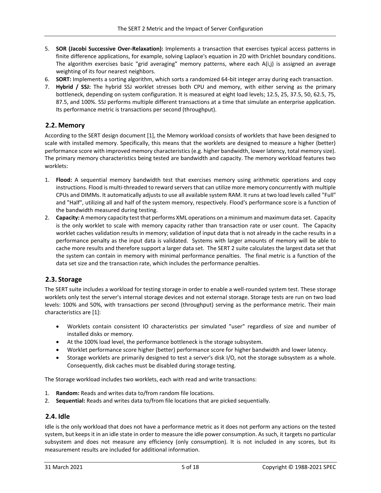- 5. **SOR (Jacobi Successive Over-Relaxation):** Implements a transaction that exercises typical access patterns in finite difference applications, for example, solving Laplace's equation in 2D with Drichlet boundary conditions. The algorithm exercises basic "grid averaging" memory patterns, where each A(i,j) is assigned an average weighting of its four nearest neighbors.
- 6. **SORT:** Implements a sorting algorithm, which sorts a randomized 64-bit integer array during each transaction.
- 7. **Hybrid / SSJ:** The hybrid SSJ worklet stresses both CPU and memory, with either serving as the primary bottleneck, depending on system configuration. It is measured at eight load levels; 12.5, 25, 37.5, 50, 62.5, 75, 87.5, and 100%. SSJ performs multiple different transactions at a time that simulate an enterprise application. Its performance metric is transactions per second (throughput).

## <span id="page-4-0"></span>**2.2. Memory**

According to the SERT design document [1], the Memory workload consists of worklets that have been designed to scale with installed memory. Specifically, this means that the worklets are designed to measure a higher (better) performance score with improved memory characteristics (e.g. higher bandwidth, lower latency, total memory size). The primary memory characteristics being tested are bandwidth and capacity. The memory workload features two worklets:

- 1. **Flood:** A sequential memory bandwidth test that exercises memory using arithmetic operations and copy instructions. Flood is multi-threaded to reward servers that can utilize more memory concurrently with multiple CPUs and DIMMs. It automatically adjusts to use all available system RAM. It runs at two load levels called "Full" and "Half", utilizing all and half of the system memory, respectively. Flood's performance score is a function of the bandwidth measured during testing.
- 2. **Capacity:** A memory capacity test that performs XML operations on a minimum and maximum data set. Capacity is the only worklet to scale with memory capacity rather than transaction rate or user count. The Capacity worklet caches validation results in memory; validation of input data that is not already in the cache results in a performance penalty as the input data is validated. Systems with larger amounts of memory will be able to cache more results and therefore support a larger data set. The SERT 2 suite calculates the largest data set that the system can contain in memory with minimal performance penalties. The final metric is a function of the data set size and the transaction rate, which includes the performance penalties.

#### <span id="page-4-1"></span>**2.3. Storage**

The SERT suite includes a workload for testing storage in order to enable a well-rounded system test. These storage worklets only test the server's internal storage devices and not external storage. Storage tests are run on two load levels: 100% and 50%, with transactions per second (throughput) serving as the performance metric. Their main characteristics are [1]:

- Worklets contain consistent IO characteristics per simulated "user" regardless of size and number of installed disks or memory.
- At the 100% load level, the performance bottleneck is the storage subsystem.
- Worklet performance score higher (better) performance score for higher bandwidth and lower latency.
- Storage worklets are primarily designed to test a server's disk I/O, not the storage subsystem as a whole. Consequently, disk caches must be disabled during storage testing.

The Storage workload includes two worklets, each with read and write transactions:

- 1. **Random:** Reads and writes data to/from random file locations.
- 2. **Sequential:** Reads and writes data to/from file locations that are picked sequentially.

#### <span id="page-4-2"></span>**2.4. Idle**

Idle is the only workload that does not have a performance metric as it does not perform any actions on the tested system, but keeps it in an idle state in order to measure the idle power consumption. As such, it targets no particular subsystem and does not measure any efficiency (only consumption). It is not included in any scores, but its measurement results are included for additional information.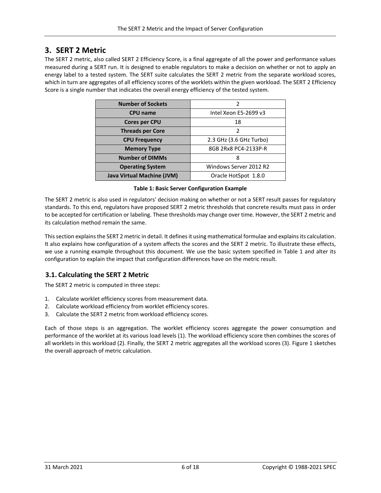# <span id="page-5-0"></span>**3. SERT 2 Metric**

The SERT 2 metric, also called SERT 2 Efficiency Score, is a final aggregate of all the power and performance values measured during a SERT run. It is designed to enable regulators to make a decision on whether or not to apply an energy label to a tested system. The SERT suite calculates the SERT 2 metric from the separate workload scores, which in turn are aggregates of all efficiency scores of the worklets within the given workload. The SERT 2 Efficiency Score is a single number that indicates the overall energy efficiency of the tested system.

| <b>Number of Sockets</b>          |                         |  |
|-----------------------------------|-------------------------|--|
| <b>CPU</b> name                   | Intel Xeon E5-2699 v3   |  |
| <b>Cores per CPU</b>              | 18                      |  |
| <b>Threads per Core</b>           | $\mathcal{P}$           |  |
| <b>CPU Frequency</b>              | 2.3 GHz (3.6 GHz Turbo) |  |
| <b>Memory Type</b>                | 8GB 2Rx8 PC4-2133P-R    |  |
| <b>Number of DIMMs</b>            | 8                       |  |
| <b>Operating System</b>           | Windows Server 2012 R2  |  |
| <b>Java Virtual Machine (JVM)</b> | Oracle HotSpot 1.8.0    |  |

#### **Table 1: Basic Server Configuration Example**

<span id="page-5-2"></span>The SERT 2 metric is also used in regulators' decision making on whether or not a SERT result passes for regulatory standards. To this end, regulators have proposed SERT 2 metric thresholds that concrete results must pass in order to be accepted for certification or labeling. These thresholds may change over time. However, the SERT 2 metric and its calculation method remain the same.

This section explains the SERT 2 metric in detail. It defines it using mathematical formulae and explains its calculation. It also explains how configuration of a system affects the scores and the SERT 2 metric. To illustrate these effects, we use a running example throughout this document. We use the basic system specified in [Table 1](#page-5-2) and alter its configuration to explain the impact that configuration differences have on the metric result.

# <span id="page-5-1"></span>**3.1. Calculating the SERT 2 Metric**

The SERT 2 metric is computed in three steps:

- 1. Calculate worklet efficiency scores from measurement data.
- 2. Calculate workload efficiency from worklet efficiency scores.
- 3. Calculate the SERT 2 metric from workload efficiency scores.

Each of those steps is an aggregation. The worklet efficiency scores aggregate the power consumption and performance of the worklet at its various load levels (1). The workload efficiency score then combines the scores of all worklets in this workload (2). Finally, the SERT 2 metric aggregates all the workload scores (3)[. Figure 1](#page-6-1) sketches the overall approach of metric calculation.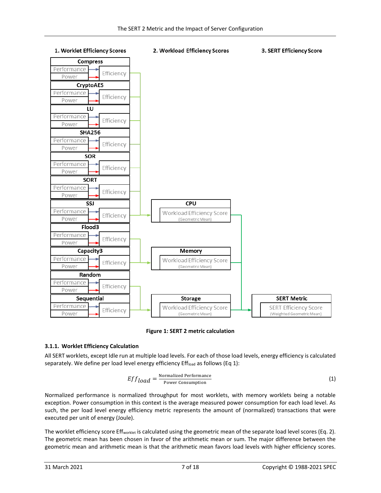

#### 1. Worklet Efficiency Scores

#### 2. Workload Efficiency Scores

#### 3. SERT Efficiency Score

#### **Figure 1: SERT 2 metric calculation**

#### <span id="page-6-1"></span><span id="page-6-0"></span>**3.1.1. Worklet Efficiency Calculation**

All SERT worklets, except Idle run at multiple load levels. For each of those load levels, energy efficiency is calculated separately. We define per load level energy efficiency Effload as follows (Eq 1):

$$
Effload = \frac{\text{Normalized Performance}}{\text{Power consumption}}
$$
 (1)

Normalized performance is normalized throughput for most worklets, with memory worklets being a notable exception. Power consumption in this context is the average measured power consumption for each load level. As such, the per load level energy efficiency metric represents the amount of (normalized) transactions that were executed per unit of energy (Joule).

The worklet efficiency score Eff<sub>worklet</sub> is calculated using the geometric mean of the separate load level scores (Eq. 2). The geometric mean has been chosen in favor of the arithmetic mean or sum. The major difference between the geometric mean and arithmetic mean is that the arithmetic mean favors load levels with higher efficiency scores.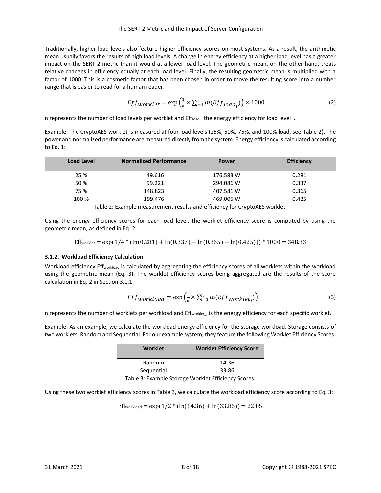Traditionally, higher load levels also feature higher efficiency scores on most systems. As a result, the arithmetic mean usually favors the results of high load levels. A change in energy efficiency at a higher load level has a greater impact on the SERT 2 metric than it would at a lower load level. The geometric mean, on the other hand, treats relative changes in efficiency equally at each load level. Finally, the resulting geometric mean is multiplied with a factor of 1000. This is a cosmetic factor that has been chosen in order to move the resulting score into a number range that is easier to read for a human reader.

$$
Effworklet = \exp\left(\frac{1}{n} \times \sum_{i=1}^{n} ln(Eff_{load_i})\right) \times 1000\tag{2}
$$

n represents the number of load levels per worklet and Effload i the energy efficiency for load level i.

Example: The CryptoAES worklet is measured at four load levels (25%, 50%, 75%, and 100% load, see [Table 2\)](#page-7-1). The power and normalized performance are measured directly from the system. Energy efficiency is calculated according to Eq. 1:

| <b>Load Level</b> | <b>Normalized Performance</b> | <b>Power</b> | <b>Efficiency</b> |
|-------------------|-------------------------------|--------------|-------------------|
| 25 %              | 49.616                        | 176.583 W    | 0.281             |
| 50 %              | 99.221                        | 294.086 W    | 0.337             |
| 75 %              | 148.823                       | 407.581 W    | 0.365             |
| 100 %             | 199.476                       | 469.005 W    | 0.425             |

Table 2: Example measurement results and efficiency for CryptoAES worklet.

<span id="page-7-1"></span>Using the energy efficiency scores for each load level, the worklet efficiency score is computed by using the geometric mean, as defined in Eq. 2:

Effworklet = exp(1/4 \* (ln(0.281) + ln(0.337) + ln(0.365) + ln(0.425))) \* 1000 = 348.33

#### <span id="page-7-0"></span>**3.1.2. Workload Efficiency Calculation**

Workload efficiency Effworkload is calculated by aggregating the efficiency scores of all worklets within the workload using the geometric mean (Eq. 3). The worklet efficiency scores being aggregated are the results of the score calculation in Eq. 2 in Sectio[n 3.1.1.](#page-6-0)

$$
Eff_{workload} = \exp\left(\frac{1}{n} \times \sum_{i=1}^{n} ln(Eff_{worklet_i})\right)
$$
 (3)

n represents the number of worklets per workload and Eff<sub>worklet i</sub> is the energy efficiency for each specific worklet.

Example: As an example, we calculate the workload energy efficiency for the storage workload. Storage consists of two worklets: Random and Sequential. For our example system, they feature the following Worklet Efficiency Scores:

| <b>Worklet</b>                     | <b>Worklet Efficiency Score</b> |  |  |
|------------------------------------|---------------------------------|--|--|
| Random                             | 14.36                           |  |  |
| Sequential                         | 33.86                           |  |  |
| $\cdots$ $\cdots$<br>$\sim$ $\sim$ |                                 |  |  |

Table 3: Example Storage Worklet Efficiency Scores.

Using these two worklet efficiency scores in Table 3, we calculate the workload efficiency score according to Eq. 3:

Eff<sub>workload</sub> = exp( $1/2$  \* (ln(14.36) + ln(33.86)) = 22.05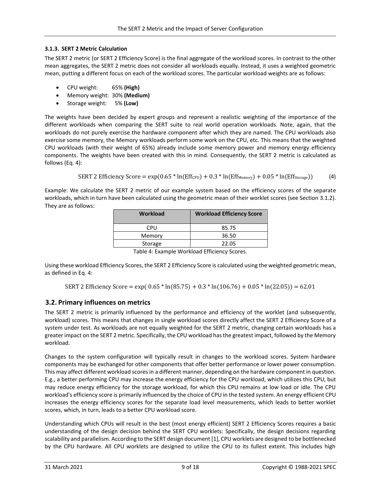#### <span id="page-8-0"></span>**3.1.3. SERT 2 Metric Calculation**

The SERT 2 metric (or SERT 2 Efficiency Score) is the final aggregate of the workload scores. In contrast to the other mean aggregates, the SERT 2 metric does not consider all workloads equally. Instead, it uses a weighted geometric mean, putting a different focus on each of the workload scores. The particular workload weights are as follows:

- CPU weight: 65% **(High)**
- Memory weight: 30% **(Medium)**
- Storage weight: 5% **(Low)**

The weights have been decided by expert groups and represent a realistic weighting of the importance of the different workloads when comparing the SERT suite to real world operation workloads. Note, again, that the workloads do not purely exercise the hardware component after which they are named. The CPU workloads also exercise some memory, the Memory workloads perform some work on the CPU, etc. This means that the weighted CPU workloads (with their weight of 65%) already include some memory power and memory energy efficiency components. The weights have been created with this in mind. Consequently, the SERT 2 metric is calculated as follows (Eq. 4):

SERT 2 Efficiency Score = exp(0.65 \* ln(EffCPU) + 0.3 \* ln(EffMemory) + 0.05 \* ln(EffStorage)) (4)

Example: We calculate the SERT 2 metric of our example system based on the efficiency scores of the separate workloads, which in turn have been calculated using the geometric mean of their worklet scores (see Section [3.1.2\)](#page-7-0). They are as follows:

| <b>Workload</b> | <b>Workload Efficiency Score</b> |
|-----------------|----------------------------------|
| CPU             | 85.75                            |
| Memory          | 36.50                            |
| Storage         | 22.05                            |
|                 |                                  |

Table 4: Example Workload Efficiency Scores.

Using these workload Efficiency Scores, the SERT 2 Efficiency Score is calculated using the weighted geometric mean, as defined in Eq. 4:

SERT 2 Efficiency Score = exp( $0.65 * ln(85.75) + 0.3 * ln(106.76) + 0.05 * ln(22.05)) = 62.01$ 

#### <span id="page-8-1"></span>**3.2. Primary influences on metrics**

The SERT 2 metric is primarily influenced by the performance and efficiency of the worklet (and subsequently, workload) scores. This means that changes in single workload scores directly affect the SERT 2 Efficiency Score of a system under test. As workloads are not equally weighted for the SERT 2 metric, changing certain workloads has a greater impact on the SERT 2 metric. Specifically, the CPU workload has the greatest impact, followed by the Memory workload.

Changes to the system configuration will typically result in changes to the workload scores. System hardware components may be exchanged for other components that offer better performance or lower power consumption. This may affect different workload scores in a different manner, depending on the hardware component in question. E.g., a better performing CPU may increase the energy efficiency for the CPU workload, which utilizes this CPU, but may reduce energy efficiency for the storage workload, for which this CPU remains at low load or idle. The CPU workload's efficiency score is primarily influenced by the choice of CPU in the tested system. An energy efficient CPU increases the energy efficiency scores for the separate load level measurements, which leads to better worklet scores, which, in turn, leads to a better CPU workload score.

Understanding which CPUs will result in the best (most energy efficient) SERT 2 Efficiency Scores requires a basic understanding of the design decision behind the SERT CPU worklets: Specifically, the design decisions regarding scalability and parallelism. According to the SERT design document [1], CPU worklets are designed to be bottlenecked by the CPU hardware. All CPU worklets are designed to utilize the CPU to its fullest extent. This includes high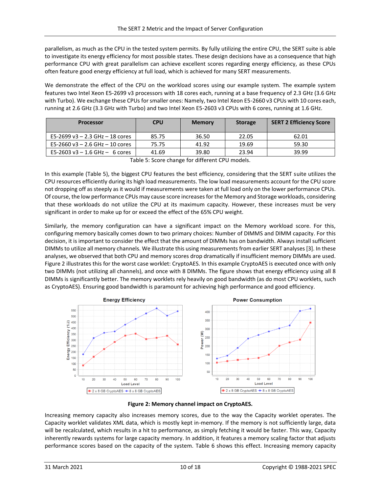parallelism, as much as the CPU in the tested system permits. By fully utilizing the entire CPU, the SERT suite is able to investigate its energy efficiency for most possible states. These design decisions have as a consequence that high performance CPU with great parallelism can achieve excellent scores regarding energy efficiency, as these CPUs often feature good energy efficiency at full load, which is achieved for many SERT measurements.

We demonstrate the effect of the CPU on the workload scores using our example system. The example system features two Intel Xeon E5-2699 v3 processors with 18 cores each, running at a base frequency of 2.3 GHz (3.6 GHz with Turbo). We exchange these CPUs for smaller ones: Namely, two Intel Xeon E5-2660 v3 CPUs with 10 cores each, running at 2.6 GHz (3.3 GHz with Turbo) and two Intel Xeon E5-2603 v3 CPUs with 6 cores, running at 1.6 GHz.

| <b>Processor</b>                    | <b>CPU</b> | <b>Memory</b> | <b>Storage</b> | <b>SERT 2 Efficiency Score</b> |
|-------------------------------------|------------|---------------|----------------|--------------------------------|
| E5-2699 v3 $-$ 2.3 GHz $-$ 18 cores | 85.75      | 36.50         | 22.05          | 62.01                          |
| E5-2660 v3 $-$ 2.6 GHz $-$ 10 cores | 75.75      | 41.92         | 19.69          | 59.30                          |
| E5-2603 v3 $-$ 1.6 GHz $-$ 6 cores  | 41.69      | 39.80         | 23.94          | 39.99                          |

Table 5: Score change for different CPU models.

<span id="page-9-0"></span>In this example [\(Table 5\)](#page-9-0), the biggest CPU features the best efficiency, considering that the SERT suite utilizes the CPU resources efficiently during its high load measurements. The low load measurements account for the CPU score not dropping off as steeply as it would if measurements were taken at full load only on the lower performance CPUs. Of course, the low performance CPUs may cause score increases for the Memory and Storage workloads, considering that these workloads do not utilize the CPU at its maximum capacity. However, these increases must be very significant in order to make up for or exceed the effect of the 65% CPU weight.

Similarly, the memory configuration can have a significant impact on the Memory workload score. For this, configuring memory basically comes down to two primary choices: Number of DIMMS and DIMM capacity. For this decision, it is important to consider the effect that the amount of DIMMs has on bandwidth. Always install sufficient DIMMs to utilize all memory channels. We illustrate this using measurements from earlier SERT analyses [3]. In these analyses, we observed that both CPU and memory scores drop dramatically if insufficient memory DIMMs are used. [Figure 2](#page-9-1) illustrates this for the worst case worklet: CryptoAES. In this example CryptoAES is executed once with only two DIMMs (not utilizing all channels), and once with 8 DIMMs. The figure shows that energy efficiency using all 8 DIMMs is significantly better. The memory worklets rely heavily on good bandwidth (as do most CPU worklets, such as CryptoAES). Ensuring good bandwidth is paramount for achieving high performance and good efficiency.





<span id="page-9-1"></span>Increasing memory capacity also increases memory scores, due to the way the Capacity worklet operates. The Capacity worklet validates XML data, which is mostly kept in-memory. If the memory is not sufficiently large, data will be recalculated, which results in a hit to performance, as simply fetching it would be faster. This way, Capacity inherently rewards systems for large capacity memory. In addition, it features a memory scaling factor that adjusts performance scores based on the capacity of the system. [Table 6](#page-10-2) shows this effect. Increasing memory capacity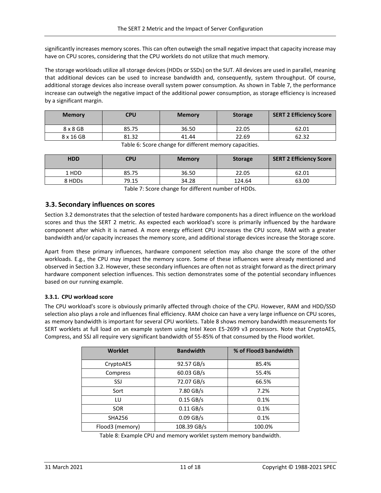significantly increases memory scores. This can often outweigh the small negative impact that capacity increase may have on CPU scores, considering that the CPU worklets do not utilize that much memory.

The storage workloads utilize all storage devices (HDDs or SSDs) on the SUT. All devices are used in parallel, meaning that additional devices can be used to increase bandwidth and, consequently, system throughput. Of course, additional storage devices also increase overall system power consumption. As shown in [Table 7,](#page-10-3) the performance increase can outweigh the negative impact of the additional power consumption, as storage efficiency is increased by a significant margin.

| <b>Memory</b>   | <b>CPU</b> | <b>Memory</b> | <b>Storage</b> | <b>SERT 2 Efficiency Score</b> |
|-----------------|------------|---------------|----------------|--------------------------------|
| $8 \times 8$ GB | 85.75      | 36.50         | 22.05          | 62.01                          |
| 8 x 16 GB       | 81.32      | 41.44         | 22.69          | 62.32                          |

Table 6: Score change for different memory capacities.

<span id="page-10-2"></span>

| <b>HDD</b> | <b>CPU</b> | <b>Memory</b> | <b>Storage</b> | <b>SERT 2 Efficiency Score</b> |
|------------|------------|---------------|----------------|--------------------------------|
| 1 HDD      | 85.75      | 36.50         | 22.05          | 62.01                          |
| 8 HDDs     | 79.15      | 34.28         | 124.64         | 63.00                          |

Table 7: Score change for different number of HDDs.

#### <span id="page-10-3"></span><span id="page-10-0"></span>**3.3. Secondary influences on scores**

Section [3.2](#page-8-1) demonstrates that the selection of tested hardware components has a direct influence on the workload scores and thus the SERT 2 metric. As expected each workload's score is primarily influenced by the hardware component after which it is named. A more energy efficient CPU increases the CPU score, RAM with a greater bandwidth and/or capacity increases the memory score, and additional storage devices increase the Storage score.

Apart from these primary influences, hardware component selection may also change the score of the other workloads. E.g., the CPU may impact the memory score. Some of these influences were already mentioned and observed in Sectio[n 3.2.](#page-8-1) However, these secondary influences are often not as straight forward as the direct primary hardware component selection influences. This section demonstrates some of the potential secondary influences based on our running example.

#### <span id="page-10-1"></span>**3.3.1. CPU workload score**

The CPU workload's score is obviously primarily affected through choice of the CPU. However, RAM and HDD/SSD selection also plays a role and influences final efficiency. RAM choice can have a very large influence on CPU scores, as memory bandwidth is important for several CPU worklets. [Table 8](#page-10-4) shows memory bandwidth measurements for SERT worklets at full load on an example system using Intel Xeon E5-2699 v3 processors. Note that CryptoAES, Compress, and SSJ all require very significant bandwidth of 55-85% of that consumed by the Flood worklet.

| <b>Bandwidth</b> | % of Flood3 bandwidth |
|------------------|-----------------------|
| 92.57 GB/s       | 85.4%                 |
| 60.03 GB/s       | 55.4%                 |
| 72.07 GB/s       | 66.5%                 |
| 7.80 GB/s        | 7.2%                  |
| $0.15$ GB/s      | 0.1%                  |
| $0.11$ GB/s      | 0.1%                  |
| $0.09$ GB/s      | 0.1%                  |
| 108.39 GB/s      | 100.0%                |
|                  |                       |

<span id="page-10-4"></span>Table 8: Example CPU and memory worklet system memory bandwidth.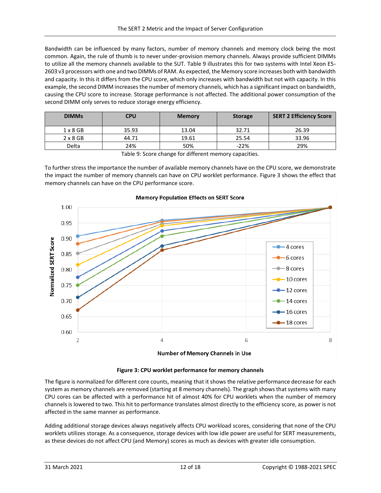Bandwidth can be influenced by many factors, number of memory channels and memory clock being the most common. Again, the rule of thumb is to never under-provision memory channels. Always provide sufficient DIMMs to utilize all the memory channels available to the SUT. [Table 9](#page-11-0) illustrates this for two systems with Intel Xeon E5- 2603 v3 processors with one and two DIMMs of RAM. As expected, the Memory score increases both with bandwidth and capacity. In this it differs from the CPU score, which only increases with bandwidth but not with capacity. In this example, the second DIMM increases the number of memory channels, which has a significant impact on bandwidth, causing the CPU score to increase. Storage performance is not affected. The additional power consumption of the second DIMM only serves to reduce storage energy efficiency.

| <b>DIMMs</b>    | <b>CPU</b> | <b>Memory</b> | <b>Storage</b> | <b>SERT 2 Efficiency Score</b> |
|-----------------|------------|---------------|----------------|--------------------------------|
| $1 \times 8$ GB | 35.93      | 13.04         | 32.71          | 26.39                          |
| $2 \times 8$ GB | 44.71      | 19.61         | 25.54          | 33.96                          |
| Delta           | 24%        | 50%           | $-22%$         | 29%                            |

Table 9: Score change for different memory capacities.

<span id="page-11-0"></span>To further stress the importance the number of available memory channels have on the CPU score, we demonstrate the impact the number of memory channels can have on CPU worklet performance. [Figure 3](#page-11-1) shows the effect that memory channels can have on the CPU performance score.



#### **Memory Population Effects on SERT Score**

Number of Memory Channels in Use

**Figure 3: CPU worklet performance for memory channels**

<span id="page-11-1"></span>The figure is normalized for different core counts, meaning that it shows the relative performance decrease for each system as memory channels are removed (starting at 8 memory channels). The graph shows that systems with many CPU cores can be affected with a performance hit of almost 40% for CPU worklets when the number of memory channels is lowered to two. This hit to performance translates almost directly to the efficiency score, as power is not affected in the same manner as performance.

Adding additional storage devices always negatively affects CPU workload scores, considering that none of the CPU worklets utilizes storage. As a consequence, storage devices with low idle power are useful for SERT measurements, as these devices do not affect CPU (and Memory) scores as much as devices with greater idle consumption.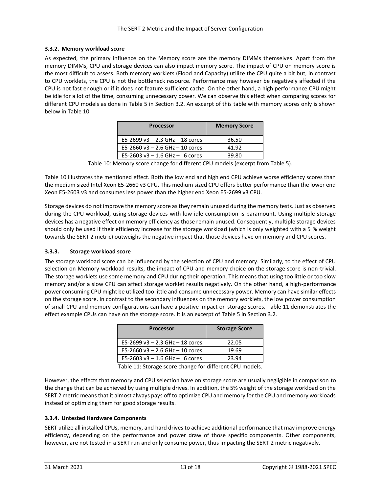#### <span id="page-12-0"></span>**3.3.2. Memory workload score**

As expected, the primary influence on the Memory score are the memory DIMMs themselves. Apart from the memory DIMMs, CPU and storage devices can also impact memory score. The impact of CPU on memory score is the most difficult to assess. Both memory worklets (Flood and Capacity) utilize the CPU quite a bit but, in contrast to CPU worklets, the CPU is not the bottleneck resource. Performance may however be negatively affected if the CPU is not fast enough or if it does not feature sufficient cache. On the other hand, a high performance CPU might be idle for a lot of the time, consuming unnecessary power. We can observe this effect when comparing scores for different CPU models as done in [Table 5](#page-9-0) in Section [3.2.](#page-8-1) An excerpt of this table with memory scores only is shown below in [Table 10.](#page-12-3)

| <b>Processor</b>                    | <b>Memory Score</b> |
|-------------------------------------|---------------------|
| E5-2699 v3 $-$ 2.3 GHz $-$ 18 cores | 36.50               |
| E5-2660 v3 $-$ 2.6 GHz $-$ 10 cores | 41.92               |
| E5-2603 v3 $-$ 1.6 GHz $-$ 6 cores  | 39.80               |

Table 10: Memory score change for different CPU models (excerpt from [Table 5\)](#page-9-0).

<span id="page-12-3"></span>[Table 10](#page-12-3) illustrates the mentioned effect. Both the low end and high end CPU achieve worse efficiency scores than the medium sized Intel Xeon E5-2660 v3 CPU. This medium sized CPU offers better performance than the lower end Xeon E5-2603 v3 and consumes less power than the higher end Xeon E5-2699 v3 CPU.

Storage devices do not improve the memory score as they remain unused during the memory tests. Just as observed during the CPU workload, using storage devices with low idle consumption is paramount. Using multiple storage devices has a negative effect on memory efficiency as those remain unused. Consequently, multiple storage devices should only be used if their efficiency increase for the storage workload (which is only weighted with a 5 % weight towards the SERT 2 metric) outweighs the negative impact that those devices have on memory and CPU scores.

#### <span id="page-12-1"></span>**3.3.3. Storage workload score**

The storage workload score can be influenced by the selection of CPU and memory. Similarly, to the effect of CPU selection on Memory workload results, the impact of CPU and memory choice on the storage score is non-trivial. The storage worklets use some memory and CPU during their operation. This means that using too little or too slow memory and/or a slow CPU can affect storage worklet results negatively. On the other hand, a high-performance power consuming CPU might be utilized too little and consume unnecessary power. Memory can have similar effects on the storage score. In contrast to the secondary influences on the memory worklets, the low power consumption of small CPU and memory configurations can have a positive impact on storage scores. [Table 11](#page-12-4) demonstrates the effect example CPUs can have on the storage score. It is an excerpt of [Table 5](#page-9-0) in Sectio[n 3.2.](#page-8-1)

| <b>Processor</b>                    | <b>Storage Score</b> |
|-------------------------------------|----------------------|
| E5-2699 v3 $-$ 2.3 GHz $-$ 18 cores | 22.05                |
| E5-2660 v3 $-$ 2.6 GHz $-$ 10 cores | 19.69                |
| E5-2603 v3 $-$ 1.6 GHz $-$ 6 cores  | 23.94                |

Table 11: Storage score change for different CPU models.

<span id="page-12-4"></span>However, the effects that memory and CPU selection have on storage score are usually negligible in comparison to the change that can be achieved by using multiple drives. In addition, the 5% weight of the storage workload on the SERT 2 metric means that it almost always pays off to optimize CPU and memory for the CPU and memory workloads instead of optimizing them for good storage results.

#### <span id="page-12-2"></span>**3.3.4. Untested Hardware Components**

SERT utilize all installed CPUs, memory, and hard drives to achieve additional performance that may improve energy efficiency, depending on the performance and power draw of those specific components. Other components, however, are not tested in a SERT run and only consume power, thus impacting the SERT 2 metric negatively.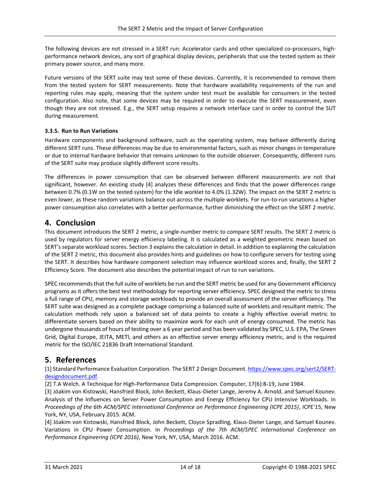The following devices are not stressed in a SERT run: Accelerator cards and other specialized co-processors, highperformance network devices, any sort of graphical display devices, peripherals that use the tested system as their primary power source, and many more.

Future versions of the SERT suite may test some of these devices. Currently, it is recommended to remove them from the tested system for SERT measurements. Note that hardware availability requirements of the run and reporting rules may apply, meaning that the system under test must be available for consumers in the tested configuration. Also note, that some devices may be required in order to execute the SERT measurement, even though they are not stressed. E.g., the SERT setup requires a network interface card in order to control the SUT during measurement.

#### <span id="page-13-0"></span>**3.3.5. Run to Run Variations**

Hardware components and background software, such as the operating system, may behave differently during different SERT runs. These differences may be due to environmental factors, such as minor changes in temperature or due to internal hardware behavior that remains unknown to the outside observer. Consequently, different runs of the SERT suite may produce slightly different score results.

The differences in power consumption that can be observed between different measurements are not that significant, however. An existing study [4] analyzes these differences and finds that the power differences range between 0.7% (0.1W on the tested system) for the Idle worklet to 4.0% (1.32W). The impact on the SERT 2 metric is even lower, as these random variations balance out across the multiple worklets. For run-to-run variations a higher power consumption also correlates with a better performance, further diminishing the effect on the SERT 2 metric.

# <span id="page-13-1"></span>**4. Conclusion**

This document introduces the SERT 2 metric, a single-number metric to compare SERT results. The SERT 2 metric is used by regulators for server energy efficiency labeling. It is calculated as a weighted geometric mean based on SERT's separate workload scores. Section [3](#page-5-0) explains the calculation in detail. In addition to explaining the calculation of the SERT 2 metric, this document also provides hints and guidelines on how to configure servers for testing using the SERT. It describes how hardware component selection may influence workload scores and, finally, the SERT 2 Efficiency Score. The document also describes the potential impact of run to run variations.

SPEC recommends that the full suite of worklets be run and the SERT metric be used for any Government efficiency programs as it offers the best test methodology for reporting server efficiency. SPEC designed the metric to stress a full range of CPU, memory and storage workloads to provide an overall assessment of the server efficiency. The SERT suite was designed as a complete package comprising a balanced suite of worklets and resultant metric. The calculation methods rely upon a balanced set of data points to create a highly effective overall metric to differentiate servers based on their ability to maximize work for each unit of energy consumed. The metric has undergone thousands of hours of testing over a 6 year period and has been validated by SPEC, U.S. EPA, The Green Grid, Digital Europe, JEITA, METI, and others as an effective server energy efficiency metric, and is the required metric for the ISO/IEC 21836 Draft International Standard.

# <span id="page-13-2"></span>**5. References**

[1] Standard Performance Evaluation Corporation. The SERT 2 Design Document. [https://www.spec.org/sert2/SERT](http://www.spec.org/sert2/SERT-designdocument.pdf)[designdocument.pdf.](http://www.spec.org/sert2/SERT-designdocument.pdf)

[2] T.A Welch. A Technique for High-Performance Data Compression. Computer, 17(6):8-19, June 1984.

[3] Jóakim von Kistowski, Hansfried Block, John Beckett, Klaus-Dieter Lange, Jeremy A. Arnold, and Samuel Kounev. Analysis of the Influences on Server Power Consumption and Energy Efficiency for CPU Intensive Workloads. In *Proceedings of the 6th ACM/SPEC International Conference on Performance Engineering (ICPE 2015)*, ICPE'15, New York, NY, USA, February 2015. ACM.

[4] Jóakim von Kistowski, Hansfried Block, John Beckett, Cloyce Spradling, Klaus-Dieter Lange, and Samuel Kounev. Variations in CPU Power Consumption. In *Proceedings of the 7th ACM/SPEC International Conference on Performance Engineering (ICPE 2016)*, New York, NY, USA, March 2016. ACM.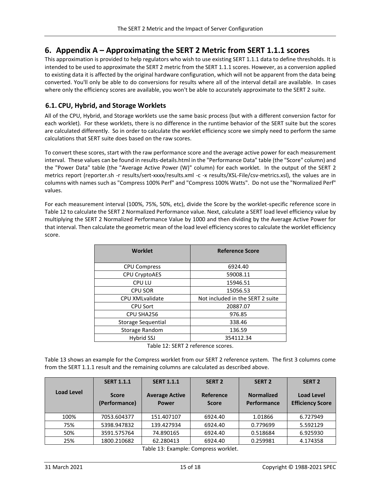# <span id="page-14-0"></span>**6. Appendix A – Approximating the SERT 2 Metric from SERT 1.1.1 scores**

This approximation is provided to help regulators who wish to use existing SERT 1.1.1 data to define thresholds. It is intended to be used to approximate the SERT 2 metric from the SERT 1.1.1 scores. However, as a conversion applied to existing data it is affected by the original hardware configuration, which will not be apparent from the data being converted. You'll only be able to do conversions for results where all of the interval detail are available. In cases where only the efficiency scores are available, you won't be able to accurately approximate to the SERT 2 suite.

## <span id="page-14-1"></span>**6.1. CPU, Hybrid, and Storage Worklets**

All of the CPU, Hybrid, and Storage worklets use the same basic process (but with a different conversion factor for each worklet). For these worklets, there is no difference in the runtime behavior of the SERT suite but the scores are calculated differently. So in order to calculate the worklet efficiency score we simply need to perform the same calculations that SERT suite does based on the raw scores.

To convert these scores, start with the raw performance score and the average active power for each measurement interval. These values can be found in results-details.html in the "Performance Data" table (the "Score" column) and the "Power Data" table (the "Average Active Power (W)" column) for each worklet. In the output of the SERT 2 metrics report (reporter.sh -r results/sert-xxxx/results.xml -c -x results/XSL-File/csv-metrics.xsl), the values are in columns with names such as "Compress 100% Perf" and "Compress 100% Watts". Do not use the "Normalized Perf" values.

For each measurement interval (100%, 75%, 50%, etc), divide the Score by the worklet-specific reference score in [Table 12](#page-14-2) to calculate the SERT 2 Normalized Performance value. Next, calculate a SERT load level efficiency value by multiplying the SERT 2 Normalized Performance Value by 1000 and then dividing by the Average Active Power for that interval. Then calculate the geometric mean of the load level efficiency scores to calculate the worklet efficiency score.

| <b>Worklet</b>         | <b>Reference Score</b>           |
|------------------------|----------------------------------|
| <b>CPU Compress</b>    | 6924.40                          |
| CPU CryptoAES          | 59008.11                         |
| <b>CPU LU</b>          | 15946.51                         |
| <b>CPU SOR</b>         | 15056.53                         |
| <b>CPU XMLvalidate</b> | Not included in the SERT 2 suite |
| <b>CPU Sort</b>        | 20887.07                         |
| CPU SHA256             | 976.85                           |
| Storage Sequential     | 338.46                           |
| Storage Random         | 136.59                           |
| Hybrid SSJ             | 354112.34                        |

Table 12: SERT 2 reference scores.

<span id="page-14-2"></span>[Table 13](#page-14-3) shows an example for the Compress worklet from our SERT 2 reference system. The first 3 columns come from the SERT 1.1.1 result and the remaining columns are calculated as described above.

<span id="page-14-3"></span>

|                   | <b>SERT 1.1.1</b>             | <b>SERT 1.1.1</b>                     | <b>SERT 2</b>             | <b>SERT 2</b>                    | <b>SERT 2</b>                                |
|-------------------|-------------------------------|---------------------------------------|---------------------------|----------------------------------|----------------------------------------------|
| <b>Load Level</b> | <b>Score</b><br>(Performance) | <b>Average Active</b><br><b>Power</b> | Reference<br><b>Score</b> | <b>Normalized</b><br>Performance | <b>Load Level</b><br><b>Efficiency Score</b> |
| 100%              | 7053.604377                   | 151.407107                            | 6924.40                   | 1.01866                          | 6.727949                                     |
| 75%               | 5398.947832                   | 139.427934                            | 6924.40                   | 0.779699                         | 5.592129                                     |
| 50%               | 3591.575764                   | 74.890165                             | 6924.40                   | 0.518684                         | 6.925930                                     |
| 25%               | 1800.210682                   | 62.280413                             | 6924.40                   | 0.259981                         | 4.174358                                     |

Table 13: Example: Compress worklet.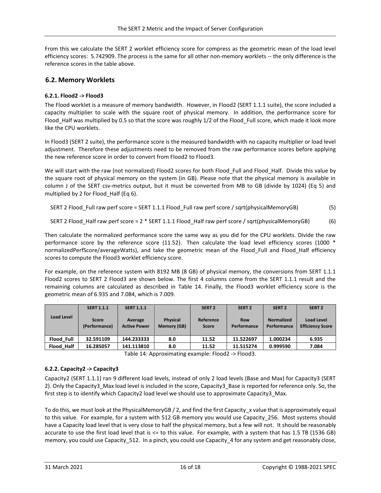From this we calculate the SERT 2 worklet efficiency score for compress as the geometric mean of the load level efficiency scores: 5.742909. The process is the same for all other non-memory worklets -- the only difference is the reference scores in the table above.

#### <span id="page-15-0"></span>**6.2. Memory Worklets**

#### <span id="page-15-1"></span>**6.2.1. Flood2 -> Flood3**

The Flood worklet is a measure of memory bandwidth. However, in Flood2 (SERT 1.1.1 suite), the score included a capacity multiplier to scale with the square root of physical memory. In addition, the performance score for Flood\_Half was multiplied by 0.5 so that the score was roughly 1/2 of the Flood\_Full score, which made it look more like the CPU worklets.

In Flood3 (SERT 2 suite), the performance score is the measured bandwidth with no capacity multiplier or load level adjustment. Therefore these adjustments need to be removed from the raw performance scores before applying the new reference score in order to convert from Flood2 to Flood3.

We will start with the raw (not normalized) Flood2 scores for both Flood Full and Flood Half. Divide this value by the square root of physical memory on the system (in GB). Please note that the physical memory is available in column J of the SERT csv-metrics output, but it must be converted from MB to GB (divide by 1024) (Eq 5) and multiplied by 2 for Flood Half (Eq 6).

SERT 2 Flood\_Full raw perf score = SERT 1.1.1 Flood\_Full raw perf score / sqrt(physicalMemoryGB) (5)

**SET 2** 
$$
Flood_Half raw perf score = 2 * SET 1.1.1  $Flood_Half raw perf score / sqrt(physicalMemoryGB)$  (6)
$$

Then calculate the normalized performance score the same way as you did for the CPU worklets. Divide the raw performance score by the reference score (11.52). Then calculate the load level efficiency scores (1000 \* normalizedPerfScore/averageWatts), and take the geometric mean of the Flood\_Full and Flood\_Half efficiency scores to compute the Flood3 worklet efficiency score.

For example, on the reference system with 8192 MB (8 GB) of physical memory, the conversions from SERT 1.1.1 Flood2 scores to SERT 2 Flood3 are shown below. The first 4 columns come from the SERT 1.1.1 result and the remaining columns are calculated as described in [Table 14.](#page-15-3) Finally, the Flood3 worklet efficiency score is the geometric mean of 6.935 and 7.084, which is 7.009.

|                   | <b>SERT 1.1.1</b>             | <b>SERT 1.1.1</b>              |                                | <b>SERT 2</b>             | SERT <sub>2</sub>  | SERT <sub>2</sub>                | SERT <sub>2</sub>                            |
|-------------------|-------------------------------|--------------------------------|--------------------------------|---------------------------|--------------------|----------------------------------|----------------------------------------------|
| Load Level        | <b>Score</b><br>(Performance) | Average<br><b>Active Power</b> | <b>Physical</b><br>Memory (GB) | Reference<br><b>Score</b> | Raw<br>Performance | <b>Normalized</b><br>Performance | <b>Load Level</b><br><b>Efficiency Score</b> |
| Flood Full        | 32.591109                     | 144.233333                     | 8.0                            | 11.52                     | 11.522697          | 1.000234                         | 6.935                                        |
| <b>Flood Half</b> | 16.285057                     | 141.113810                     | 8.0                            | 11.52                     | 11.515274          | 0.999590                         | 7.084                                        |

Table 14: Approximating example: Flood2 -> Flood3.

#### <span id="page-15-3"></span><span id="page-15-2"></span>**6.2.2. Capacity2 -> Capacity3**

Capacity2 (SERT 1.1.1) ran 9 different load levels, instead of only 2 load levels (Base and Max) for Capacity3 (SERT 2). Only the Capacity3\_Max load level is included in the score, Capacity3\_Base is reported for reference only. So, the first step is to identify which Capacity2 load level we should use to approximate Capacity3\_Max.

To do this, we must look at the PhysicalMemoryGB / 2, and find the first Capacity x value that is approximately equal to this value. For example, for a system with 512 GB memory you would use Capacity\_256. Most systems should have a Capacity load level that is very close to half the physical memory, but a few will not. It should be reasonably accurate to use the first load level that is <= to this value. For example, with a system that has 1.5 TB (1536 GB) memory, you could use Capacity 512. In a pinch, you could use Capacity 4 for any system and get reasonably close,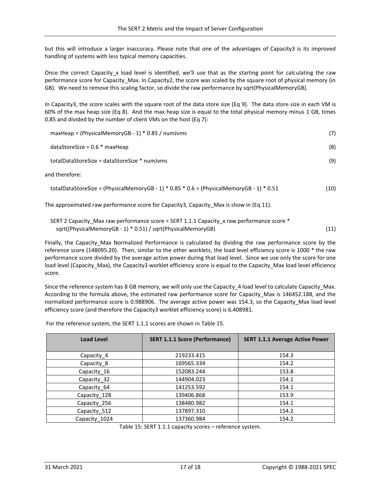but this will introduce a larger inaccuracy. Please note that one of the advantages of Capacity3 is its improved handling of systems with less typical memory capacities.

Once the correct Capacity x load level is identified, we'll use that as the starting point for calculating the raw performance score for Capacity Max. In Capacity2, the score was scaled by the square root of physical memory (in GB). We need to remove this scaling factor, so divide the raw performance by sqrt(PhysicalMemoryGB).

In Capacity3, the score scales with the square root of the data store size (Eq 9). The data store size in each VM is 60% of the max heap size (Eq 8). And the max heap size is equal to the total physical memory minus 1 GB, times 0.85 and divided by the number of client VMs on the host (Eq 7):

| $maxHeap = (PhysicalMemoryGB - 1) * 0.85 / numJvms$ | (7) |
|-----------------------------------------------------|-----|
| dataStoreSize = $0.6$ * maxHeap                     | (8) |
| totalDataStoreSize = dataStoreSize * numJyms        | (9) |
| and therefore:                                      |     |

totalDataStoreSize = (PhysicalMemoryGB - 1) \* 0.85 \* 0.6 = (PhysicalMemoryGB - 1) \* 0.51 (10)

The approximated raw performance score for Capacity3, Capacity\_Max is show in (Eq 11).

| SERT 2 Capacity_Max raw performance score = SERT 1.1.1 Capacity_x raw performance score * |      |
|-------------------------------------------------------------------------------------------|------|
| sqrt((PhysicalMemoryGB - 1) * 0.51) / sqrt(PhysicalMemoryGB)                              | (11) |

Finally, the Capacity\_Max Normalized Performance is calculated by dividing the raw performance score by the reference score (148095.20). Then, similar to the other worklets, the load level efficiency score is 1000 \* the raw performance score divided by the average active power during that load level. Since we use only the score for one load level (Capacity Max), the Capacity3 worklet efficiency score is equal to the Capacity Max load level efficiency score.

Since the reference system has 8 GB memory, we will only use the Capacity\_4 load level to calculate Capacity\_Max. According to the formula above, the estimated raw performance score for Capacity\_Max is 146452.188, and the normalized performance score is 0.988906. The average active power was 154.3, so the Capacity\_Max load level efficiency score (and therefore the Capacity3 worklet efficiency score) is 6.408981.

For the reference system, the SERT 1.1.1 scores are shown i[n Table 15.](#page-16-0)

| <b>Load Level</b> | <b>SERT 1.1.1 Score (Performance)</b> | <b>SERT 1.1.1 Average Active Power</b> |
|-------------------|---------------------------------------|----------------------------------------|
| Capacity_4        | 219233.415                            | 154.3                                  |
| Capacity_8        | 169565.334                            | 154.2                                  |
| Capacity 16       | 152083.244                            | 153.8                                  |
| Capacity 32       | 144904.023                            | 154.1                                  |
| Capacity 64       | 141253.592                            | 154.1                                  |
| Capacity_128      | 139406.868                            | 153.9                                  |
| Capacity 256      | 138480.982                            | 154.1                                  |
| Capacity 512      | 137897.310                            | 154.2                                  |
| Capacity_1024     | 137360.984                            | 154.2                                  |

<span id="page-16-0"></span>Table 15: SERT 1.1.1 capacity scores – reference system.